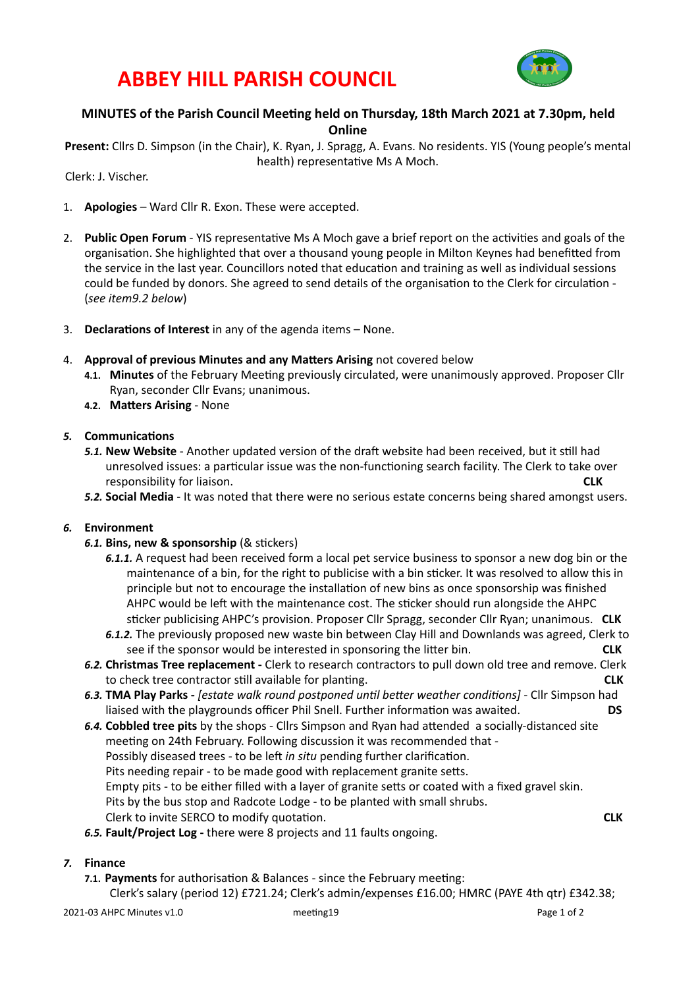# **ABBEY HILL PARISH COUNCIL**



## **MINUTES** of the Parish Council Meeting held on Thursday, 18th March 2021 at 7.30pm, held **Online**

Present: Cllrs D. Simpson (in the Chair), K. Ryan, J. Spragg, A. Evans. No residents. YIS (Young people's mental health) representative Ms A Moch.

Clerk: J. Vischer. 

- 1. **Apologies** Ward Cllr R. Exon. These were accepted.
- 2. **Public Open Forum** YIS representative Ms A Moch gave a brief report on the activities and goals of the organisation. She highlighted that over a thousand young people in Milton Keynes had benefitted from the service in the last year. Councillors noted that education and training as well as individual sessions could be funded by donors. She agreed to send details of the organisation to the Clerk for circulation -(*see item9.2 below*)
- 3. **Declarations of Interest** in any of the agenda items None.
- 4. **Approval of previous Minutes and any Matters Arising** not covered below
	- 4.1. Minutes of the February Meeting previously circulated, were unanimously approved. Proposer Cllr Ryan, seconder Cllr Evans; unanimous.
	- **4.2. Matters Arising None**

### **5.** Communications

- 5.1. New Website Another updated version of the draft website had been received, but it still had unresolved issues: a particular issue was the non-functioning search facility. The Clerk to take over **CLK CONSIMIGD CONSIMIGD CONSIMIGD CONSIMIGD CONSIMIGD CONSIMIGD CONSIMIGD CONSIMIGD CONSIMIGD CONSIMIGD CONSIMIGD CONSIMIGD CONSIMIGD CONSIMIGD CONSIMIGD CONSIMIGD CONSIMIGD CONSIMIGD**
- 5.2. Social Media It was noted that there were no serious estate concerns being shared amongst users.

### 6. **Environment**

- **6.1. Bins, new & sponsorship** (& stickers)
	- **6.1.1.** A request had been received form a local pet service business to sponsor a new dog bin or the maintenance of a bin, for the right to publicise with a bin sticker. It was resolved to allow this in principle but not to encourage the installation of new bins as once sponsorship was finished AHPC would be left with the maintenance cost. The sticker should run alongside the AHPC sticker publicising AHPC's provision. Proposer Cllr Spragg, seconder Cllr Ryan; unanimous. **CLK**
	- 6.1.2. The previously proposed new waste bin between Clay Hill and Downlands was agreed, Clerk to see if the sponsor would be interested in sponsoring the litter bin.  $\qquad \qquad \qquad \qquad \qquad \qquad \qquad \qquad$
- **6.2. Christmas Tree replacement** Clerk to research contractors to pull down old tree and remove. Clerk to check tree contractor still available for planting. **EXACO** *CLK* **CLK**
- 6.3. **TMA Play Parks** *[estate walk round postponed until better weather conditions]* Cllr Simpson had liaised with the playgrounds officer Phil Snell. Further information was awaited. **DS**
- 6.4. Cobbled tree pits by the shops Cllrs Simpson and Ryan had attended a socially-distanced site meeting on 24th February. Following discussion it was recommended that -Possibly diseased trees - to be left in situ pending further clarification. Pits needing repair - to be made good with replacement granite setts. Empty pits - to be either filled with a layer of granite setts or coated with a fixed gravel skin. Pits by the bus stop and Radcote Lodge - to be planted with small shrubs. Clerk to invite SERCO to modify quotaCon.  **CLK**
- 6.5. Fault/Project Log there were 8 projects and 11 faults ongoing.

## *7.* **Finance**

**7.1. Payments** for authorisation & Balances - since the February meeting: Clerk's salary (period 12) £721.24; Clerk's admin/expenses £16.00; HMRC (PAYE 4th qtr) £342.38;